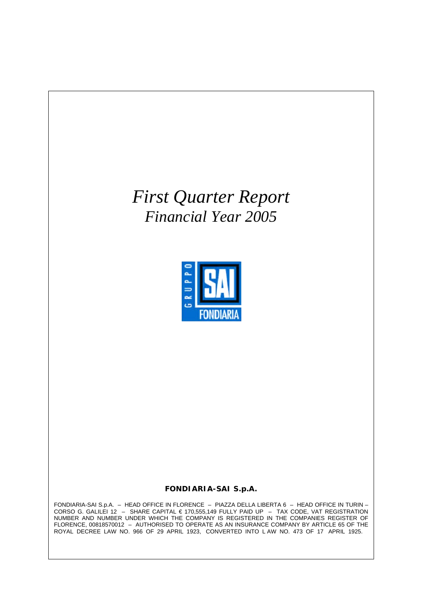# *First Quarter Report Financial Year 2005*



### **FONDIARIA-SAI S.p.A.**

FONDIARIA-SAI S.p.A. – HEAD OFFICE IN FLORENCE – PIAZZA DELLA LIBERTA 6 – HEAD OFFICE IN TURIN – CORSO G. GALILEI 12 – SHARE CAPITAL € 170,555,149 FULLY PAID UP – TAX CODE, VAT REGISTRATION NUMBER AND NUMBER UNDER WHICH THE COMPANY IS REGISTERED IN THE COMPANIES REGISTER OF FLORENCE, 00818570012 – AUTHORISED TO OPERATE AS AN INSURANCE COMPANY BY ARTICLE 65 OF THE ROYAL DECREE LAW NO. 966 OF 29 APRIL 1923, CONVERTED INTO L AW NO. 473 OF 17 APRIL 1925.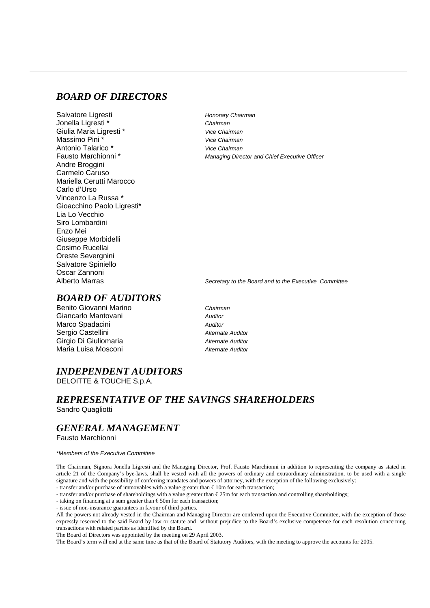### *BOARD OF DIRECTORS*

Salvatore Ligresti<br>
Honorary Chairman Jonella Ligresti \* *Chairman* Giulia Maria Ligresti \* *Vice Chairman* Massimo Pini \* *Vice Chairman* Antonio Talarico \* *Vice Chairman* Andre Broggini Carmelo Caruso Mariella Cerutti Marocco Carlo d'Urso Vincenzo La Russa \* Gioacchino Paolo Ligresti\* Lia Lo Vecchio Siro Lombardini Enzo Mei Giuseppe Morbidelli Cosimo Rucellai Oreste Severgnini Salvatore Spiniello Oscar Zannoni

Managing Director and Chief Executive Officer

Alberto Marras *Secretary to the Board and to the Executive Committee*

# *BOARD OF AUDITORS*

Benito Giovanni Marino *Chairman* Giancarlo Mantovani *Auditor* Marco Spadacini *Auditor* Sergio Castellini *Alternate Auditor* Girgio Di Giuliomaria *Alternate Auditor* Maria Luisa Mosconi *Alternate Auditor*

### *INDEPENDENT AUDITORS* DELOITTE & TOUCHE S.p.A.

### *REPRESENTATIVE OF THE SAVINGS SHAREHOLDERS* Sandro Quagliotti

### *GENERAL MANAGEMENT*

Fausto Marchionni

#### *\*Members of the Executive Committee*

The Chairman, Signora Jonella Ligresti and the Managing Director, Prof. Fausto Marchionni in addition to representing the company as stated in article 21 of the Company's bye-laws, shall be vested with all the powers of ordinary and extraordinary administration, to be used with a single signature and with the possibility of conferring mandates and powers of attorney, with the exception of the following exclusively: - transfer and/or purchase of immovables with a value greater than € 10m for each transaction;

- transfer and/or purchase of shareholdings with a value greater than € 25m for each transaction and controlling shareholdings;

- taking on financing at a sum greater than € 50m for each transaction;

- issue of non-insurance guarantees in favour of third parties.

All the powers not already vested in the Chairman and Managing Director are conferred upon the Executive Committee, with the exception of those expressly reserved to the said Board by law or statute and without prejudice to the Board's exclusive competence for each resolution concerning transactions with related parties as identified by the Board.

The Board of Directors was appointed by the meeting on 29 April 2003.

The Board's term will end at the same time as that of the Board of Statutory Auditors, with the meeting to approve the accounts for 2005.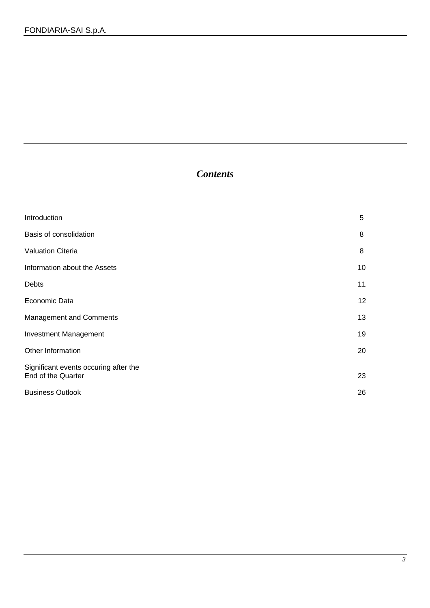# *Contents*

| Introduction                                                | 5  |
|-------------------------------------------------------------|----|
| Basis of consolidation                                      | 8  |
| <b>Valuation Citeria</b>                                    | 8  |
| Information about the Assets                                | 10 |
| Debts                                                       | 11 |
| Economic Data                                               | 12 |
| <b>Management and Comments</b>                              | 13 |
| <b>Investment Management</b>                                | 19 |
| Other Information                                           | 20 |
| Significant events occuring after the<br>End of the Quarter | 23 |
| <b>Business Outlook</b>                                     | 26 |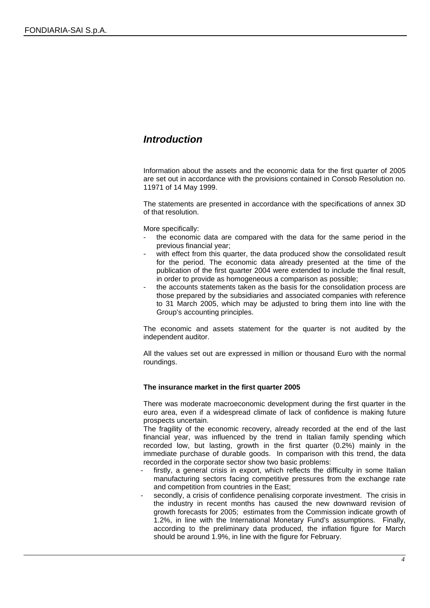# *Introduction*

Information about the assets and the economic data for the first quarter of 2005 are set out in accordance with the provisions contained in Consob Resolution no. 11971 of 14 May 1999.

The statements are presented in accordance with the specifications of annex 3D of that resolution.

More specifically:

- the economic data are compared with the data for the same period in the previous financial year;
- with effect from this quarter, the data produced show the consolidated result for the period. The economic data already presented at the time of the publication of the first quarter 2004 were extended to include the final result, in order to provide as homogeneous a comparison as possible;
- the accounts statements taken as the basis for the consolidation process are those prepared by the subsidiaries and associated companies with reference to 31 March 2005, which may be adjusted to bring them into line with the Group's accounting principles.

The economic and assets statement for the quarter is not audited by the independent auditor.

All the values set out are expressed in million or thousand Euro with the normal roundings.

### **The insurance market in the first quarter 2005**

There was moderate macroeconomic development during the first quarter in the euro area, even if a widespread climate of lack of confidence is making future prospects uncertain.

The fragility of the economic recovery, already recorded at the end of the last financial year, was influenced by the trend in Italian family spending which recorded low, but lasting, growth in the first quarter (0.2%) mainly in the immediate purchase of durable goods. In comparison with this trend, the data recorded in the corporate sector show two basic problems:

- firstly, a general crisis in export, which reflects the difficulty in some Italian manufacturing sectors facing competitive pressures from the exchange rate and competition from countries in the East;
- secondly, a crisis of confidence penalising corporate investment. The crisis in the industry in recent months has caused the new downward revision of growth forecasts for 2005; estimates from the Commission indicate growth of 1.2%, in line with the International Monetary Fund's assumptions. Finally, according to the preliminary data produced, the inflation figure for March should be around 1.9%, in line with the figure for February.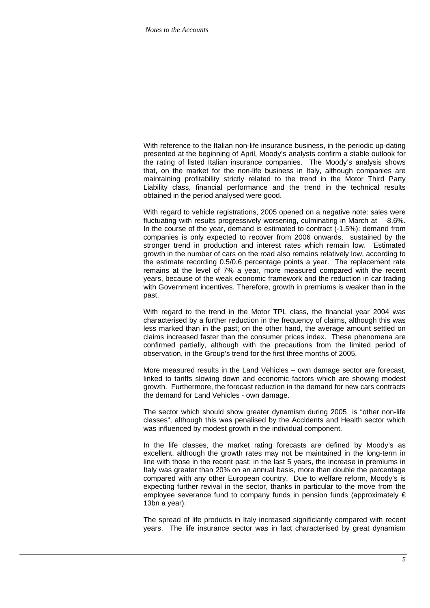With reference to the Italian non-life insurance business, in the periodic up-dating presented at the beginning of April, Moody's analysts confirm a stable outlook for the rating of listed Italian insurance companies. The Moody's analysis shows that, on the market for the non-life business in Italy, although companies are maintaining profitability strictly related to the trend in the Motor Third Party Liability class, financial performance and the trend in the technical results obtained in the period analysed were good.

With regard to vehicle registrations, 2005 opened on a negative note: sales were fluctuating with results progressively worsening, culminating in March at -8.6%. In the course of the year, demand is estimated to contract (-1.5%): demand from companies is only expected to recover from 2006 onwards, sustained by the stronger trend in production and interest rates which remain low. Estimated growth in the number of cars on the road also remains relatively low, according to the estimate recording 0.5/0.6 percentage points a year. The replacement rate remains at the level of 7% a year, more measured compared with the recent years, because of the weak economic framework and the reduction in car trading with Government incentives. Therefore, growth in premiums is weaker than in the past.

With regard to the trend in the Motor TPL class, the financial year 2004 was characterised by a further reduction in the frequency of claims, although this was less marked than in the past; on the other hand, the average amount settled on claims increased faster than the consumer prices index. These phenomena are confirmed partially, although with the precautions from the limited period of observation, in the Group's trend for the first three months of 2005.

More measured results in the Land Vehicles – own damage sector are forecast, linked to tariffs slowing down and economic factors which are showing modest growth. Furthermore, the forecast reduction in the demand for new cars contracts the demand for Land Vehicles - own damage.

The sector which should show greater dynamism during 2005 is "other non-life classes", although this was penalised by the Accidents and Health sector which was influenced by modest growth in the individual component.

In the life classes, the market rating forecasts are defined by Moody's as excellent, although the growth rates may not be maintained in the long-term in line with those in the recent past: in the last 5 years, the increase in premiums in Italy was greater than 20% on an annual basis, more than double the percentage compared with any other European country. Due to welfare reform, Moody's is expecting further revival in the sector, thanks in particular to the move from the employee severance fund to company funds in pension funds (approximately  $\epsilon$ 13bn a year).

The spread of life products in Italy increased significiantly compared with recent years. The life insurance sector was in fact characterised by great dynamism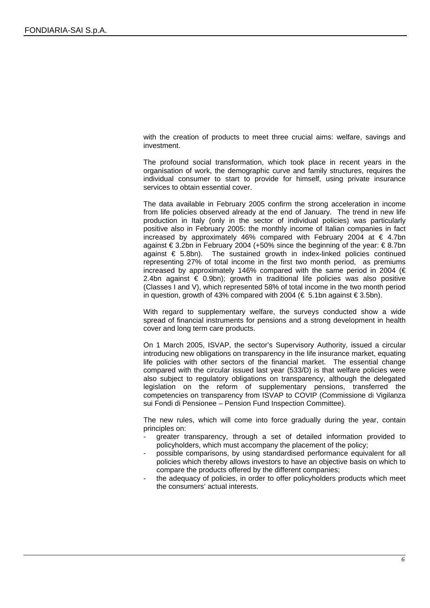with the creation of products to meet three crucial aims: welfare, savings and investment.

The profound social transformation, which took place in recent years in the organisation of work, the demographic curve and family structures, requires the individual consumer to start to provide for himself, using private insurance services to obtain essential cover.

The data available in February 2005 confirm the strong acceleration in income from life policies observed already at the end of January. The trend in new life production in Italy (only in the sector of individual policies) was particularly positive also in February 2005: the monthly income of Italian companies in fact increased by approximately 46% compared with February 2004 at  $\in$  4.7bn against € 3.2bn in February 2004 (+50% since the beginning of the year:  $€ 8.7$ bn against € 5.8bn). The sustained growth in index-linked policies continued representing 27% of total income in the first two month period, as premiums increased by approximately 146% compared with the same period in 2004 ( $\epsilon$ 2.4bn against € 0.9bn); growth in traditional life policies was also positive (Classes I and V), which represented 58% of total income in the two month period in question, growth of 43% compared with 2004 (€ 5.1bn against €3.5bn).

With regard to supplementary welfare, the surveys conducted show a wide spread of financial instruments for pensions and a strong development in health cover and long term care products.

On 1 March 2005, ISVAP, the sector's Supervisory Authority, issued a circular introducing new obligations on transparency in the life insurance market, equating life policies with other sectors of the financial market. The essential change compared with the circular issued last year (533/D) is that welfare policies were also subject to regulatory obligations on transparency, although the delegated legislation on the reform of supplementary pensions, transferred the competencies on transparency from ISVAP to COVIP (Commissione di Vigilanza sui Fondi di Pensionee – Pension Fund Inspection Committee).

The new rules, which will come into force gradually during the year, contain principles on:

- greater transparency, through a set of detailed information provided to policyholders, which must accompany the placement of the policy;
- possible comparisons, by using standardised performance equivalent for all policies which thereby allows investors to have an objective basis on which to compare the products offered by the different companies;
- the adequacy of policies, in order to offer policyholders products which meet the consumers' actual interests.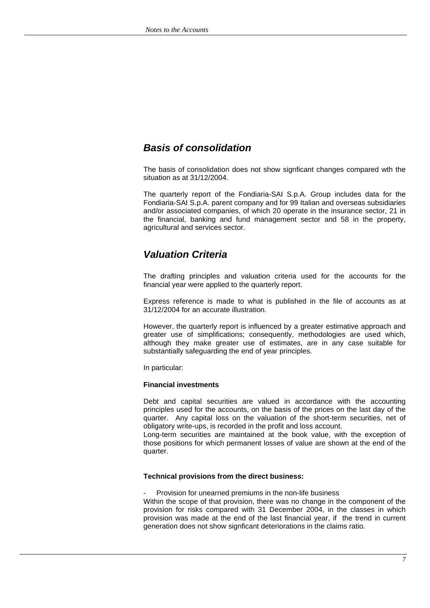# *Basis of consolidation*

The basis of consolidation does not show signficant changes compared wth the situation as at 31/12/2004.

The quarterly report of the Fondiaria-SAI S.p.A. Group includes data for the Fondiaria-SAI S.p.A. parent company and for 99 Italian and overseas subsidiaries and/or associated companies, of which 20 operate in the insurance sector, 21 in the financial, banking and fund management sector and 58 in the property, agricultural and services sector.

# *Valuation Criteria*

The drafting principles and valuation criteria used for the accounts for the financial year were applied to the quarterly report.

Express reference is made to what is published in the file of accounts as at 31/12/2004 for an accurate illustration.

However, the quarterly report is influenced by a greater estimative approach and greater use of simplifications; consequently, methodologies are used which, although they make greater use of estimates, are in any case suitable for substantially safeguarding the end of year principles.

In particular:

### **Financial investments**

Debt and capital securities are valued in accordance with the accounting principles used for the accounts, on the basis of the prices on the last day of the quarter. Any capital loss on the valuation of the short-term securities, net of obligatory write-ups, is recorded in the profit and loss account.

Long-term securities are maintained at the book value, with the exception of those positions for which permanent losses of value are shown at the end of the quarter.

### **Technical provisions from the direct business:**

Provision for unearned premiums in the non-life business

Within the scope of that provision, there was no change in the component of the provision for risks compared with 31 December 2004, in the classes in which provision was made at the end of the last financial year, if the trend in current generation does not show signficant deteriorations in the claims ratio.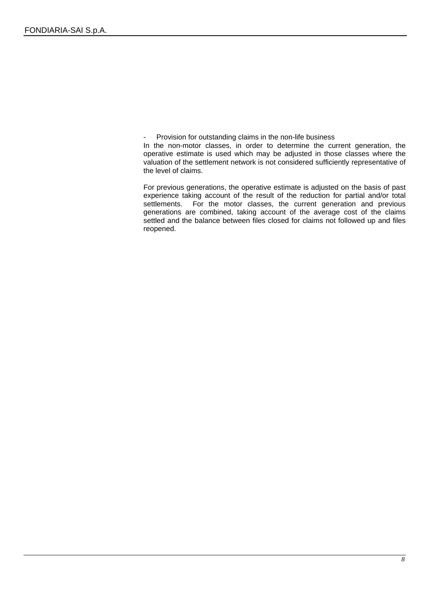Provision for outstanding claims in the non-life business

In the non-motor classes, in order to determine the current generation, the operative estimate is used which may be adjusted in those classes where the valuation of the settlement network is not considered sufficiently representative of the level of claims.

For previous generations, the operative estimate is adjusted on the basis of past experience taking account of the result of the reduction for partial and/or total settlements. For the motor classes, the current generation and previous generations are combined, taking account of the average cost of the claims settled and the balance between files closed for claims not followed up and files reopened.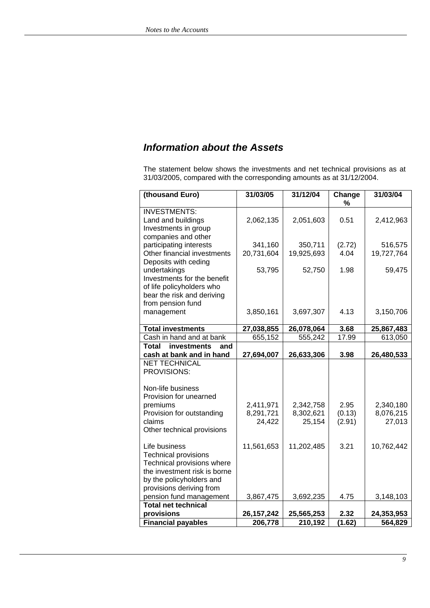# *Information about the Assets*

The statement below shows the investments and net technical provisions as at 31/03/2005, compared with the corresponding amounts as at 31/12/2004.

| (thousand Euro)                                                                          | 31/03/05     | 31/12/04   | Change<br>% | 31/03/04   |
|------------------------------------------------------------------------------------------|--------------|------------|-------------|------------|
| <b>INVESTMENTS:</b><br>Land and buildings<br>Investments in group<br>companies and other | 2,062,135    | 2,051,603  | 0.51        | 2,412,963  |
| participating interests                                                                  | 341,160      | 350,711    | (2.72)      | 516,575    |
| Other financial investments<br>Deposits with ceding                                      | 20,731,604   | 19,925,693 | 4.04        | 19,727,764 |
| undertakings                                                                             | 53,795       | 52,750     | 1.98        | 59,475     |
| Investments for the benefit                                                              |              |            |             |            |
| of life policyholders who                                                                |              |            |             |            |
| bear the risk and deriving                                                               |              |            |             |            |
| from pension fund                                                                        |              |            |             |            |
| management                                                                               | 3,850,161    | 3,697,307  | 4.13        | 3,150,706  |
| <b>Total investments</b>                                                                 | 27,038,855   | 26,078,064 | 3.68        | 25,867,483 |
| Cash in hand and at bank                                                                 | 655,152      | 555,242    | 17.99       | 613,050    |
| <b>Total</b><br>investments<br>and                                                       |              |            |             |            |
| cash at bank and in hand                                                                 | 27,694,007   | 26,633,306 | 3.98        | 26,480,533 |
| <b>NET TECHNICAL</b><br>PROVISIONS:                                                      |              |            |             |            |
| Non-life business                                                                        |              |            |             |            |
| Provision for unearned                                                                   |              |            |             |            |
| premiums                                                                                 | 2,411,971    | 2,342,758  | 2.95        | 2,340,180  |
| Provision for outstanding                                                                | 8,291,721    | 8,302,621  | (0.13)      | 8,076,215  |
| claims                                                                                   | 24,422       | 25,154     | (2.91)      | 27,013     |
| Other technical provisions                                                               |              |            |             |            |
| Life business                                                                            | 11,561,653   | 11,202,485 | 3.21        | 10,762,442 |
| <b>Technical provisions</b>                                                              |              |            |             |            |
| Technical provisions where                                                               |              |            |             |            |
| the investment risk is borne                                                             |              |            |             |            |
| by the policyholders and                                                                 |              |            |             |            |
| provisions deriving from                                                                 |              |            |             |            |
| pension fund management                                                                  | 3,867,475    | 3,692,235  | 4.75        | 3,148,103  |
| Total net technical                                                                      |              |            |             |            |
| provisions                                                                               | 26, 157, 242 | 25,565,253 | 2.32        | 24,353,953 |
| <b>Financial payables</b>                                                                | 206,778      | 210,192    | (1.62)      | 564,829    |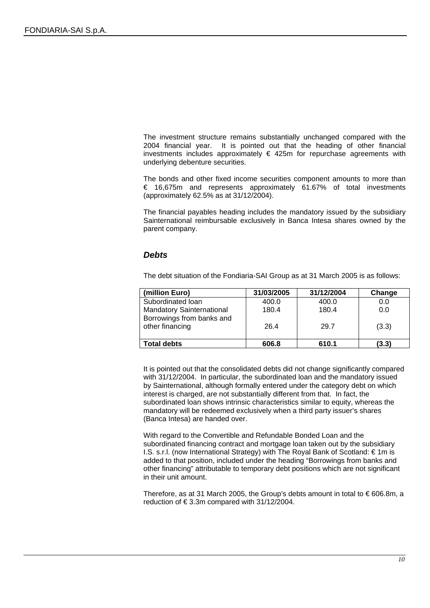The investment structure remains substantially unchanged compared with the 2004 financial year. It is pointed out that the heading of other financial investments includes approximately  $\epsilon$  425m for repurchase agreements with underlying debenture securities.

The bonds and other fixed income securities component amounts to more than € 16,675m and represents approximately 61.67% of total investments (approximately 62.5% as at 31/12/2004).

The financial payables heading includes the mandatory issued by the subsidiary Sainternational reimbursable exclusively in Banca Intesa shares owned by the parent company.

### *Debts*

The debt situation of the Fondiaria-SAI Group as at 31 March 2005 is as follows:

| (million Euro)                               | 31/03/2005 | 31/12/2004 | Change |
|----------------------------------------------|------------|------------|--------|
| Subordinated Ioan                            | 400.0      | 400.0      | 0.0    |
| <b>Mandatory Sainternational</b>             | 180.4      | 180.4      | 0.0    |
| Borrowings from banks and<br>other financing | 26.4       | 29.7       | (3.3)  |
| <b>Total debts</b>                           | 606.8      | 610.1      | (3.3)  |

It is pointed out that the consolidated debts did not change significantly compared with 31/12/2004. In particular, the subordinated loan and the mandatory issued by Sainternational, although formally entered under the category debt on which interest is charged, are not substantially different from that. In fact, the subordinated loan shows intrinsic characteristics similar to equity, whereas the mandatory will be redeemed exclusively when a third party issuer's shares (Banca Intesa) are handed over.

With regard to the Convertible and Refundable Bonded Loan and the subordinated financing contract and mortgage loan taken out by the subsidiary I.S. s.r.l. (now International Strategy) with The Royal Bank of Scotland: € 1m is added to that position, included under the heading "Borrowings from banks and other financing" attributable to temporary debt positions which are not significant in their unit amount.

Therefore, as at 31 March 2005, the Group's debts amount in total to  $\epsilon$  606.8m, a reduction of  $\epsilon$ 3.3m compared with 31/12/2004.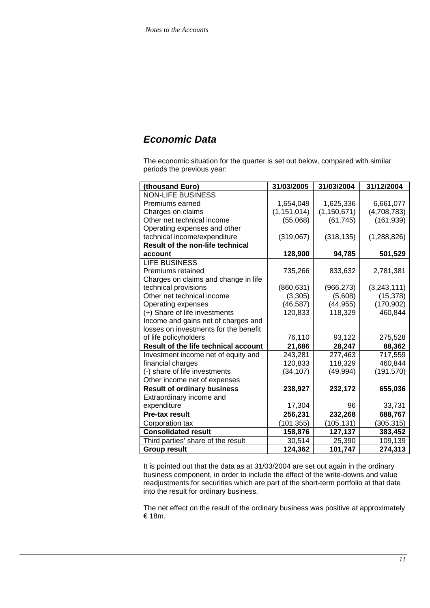# *Economic Data*

The economic situation for the quarter is set out below, compared with similar periods the previous year:

| (thousand Euro)                             | 31/03/2005    | 31/03/2004    | 31/12/2004  |
|---------------------------------------------|---------------|---------------|-------------|
| <b>NON-LIFE BUSINESS</b>                    |               |               |             |
| Premiums earned                             | 1,654,049     | 1,625,336     | 6,661,077   |
| Charges on claims                           | (1, 151, 014) | (1, 150, 671) | (4,708,783) |
| Other net technical income                  | (55,068)      | (61, 745)     | (161, 939)  |
| Operating expenses and other                |               |               |             |
| technical income/expenditure                | (319,067)     | (318, 135)    | (1,288,826) |
| <b>Result of the non-life technical</b>     |               |               |             |
| account                                     | 128,900       | 94,785        | 501,529     |
| <b>LIFE BUSINESS</b>                        |               |               |             |
| Premiums retained                           | 735,266       | 833,632       | 2,781,381   |
| Charges on claims and change in life        |               |               |             |
| technical provisions                        | (860, 631)    | (966, 273)    | (3,243,111) |
| Other net technical income                  | (3,305)       | (5,608)       | (15, 378)   |
| Operating expenses                          | (46, 587)     | (44, 955)     | (170, 902)  |
| (+) Share of life investments               | 120,833       | 118,329       | 460,844     |
| Income and gains net of charges and         |               |               |             |
| losses on investments for the benefit       |               |               |             |
| of life policyholders                       | 76,110        | 93,122        | 275,528     |
| <b>Result of the life technical account</b> | 21,686        | 28,247        | 88,362      |
| Investment income net of equity and         | 243,281       | 277,463       | 717,559     |
| financial charges                           | 120,833       | 118,329       | 460,844     |
| (-) share of life investments               | (34, 107)     | (49, 994)     | (191, 570)  |
| Other income net of expenses                |               |               |             |
| <b>Result of ordinary business</b>          | 238,927       | 232,172       | 655,036     |
| Extraordinary income and                    |               |               |             |
| expenditure                                 | 17,304        | 96            | 33,731      |
| Pre-tax result                              | 256,231       | 232,268       | 688,767     |
| Corporation tax                             | (101, 355)    | (105, 131)    | (305, 315)  |
| <b>Consolidated result</b>                  | 158,876       | 127,137       | 383,452     |
| Third parties' share of the result          | 30,514        | 25,390        | 109,139     |
| <b>Group result</b>                         | 124,362       | 101,747       | 274,313     |

It is pointed out that the data as at 31/03/2004 are set out again in the ordinary business component, in order to include the effect of the write-downs and value readjustments for securities which are part of the short-term portfolio at that date into the result for ordinary business.

The net effect on the result of the ordinary business was positive at approximately € 18m.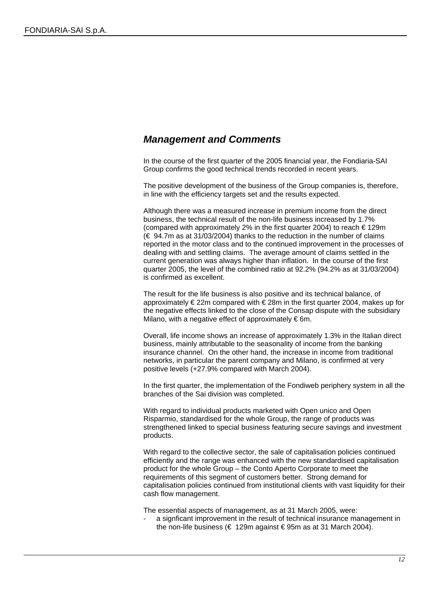### *Management and Comments*

In the course of the first quarter of the 2005 financial year, the Fondiaria-SAI Group confirms the good technical trends recorded in recent years.

The positive development of the business of the Group companies is, therefore, in line with the efficiency targets set and the results expected.

Although there was a measured increase in premium income from the direct business, the technical result of the non-life business increased by 1.7% (compared with approximately 2% in the first quarter 2004) to reach  $\epsilon$  129m (€ 94.7m as at 31/03/2004) thanks to the reduction in the number of claims reported in the motor class and to the continued improvement in the processes of dealing with and settling claims. The average amount of claims settled in the current generation was always higher than inflation. In the course of the first quarter 2005, the level of the combined ratio at 92.2% (94.2% as at 31/03/2004) is confirmed as excellent.

The result for the life business is also positive and its technical balance, of approximately  $\epsilon$  22m compared with  $\epsilon$  28m in the first quarter 2004, makes up for the negative effects linked to the close of the Consap dispute with the subsidiary Milano, with a negative effect of approximately  $\epsilon$ 6m.

Overall, life income shows an increase of approximately 1.3% in the Italian direct business, mainly attributable to the seasonality of income from the banking insurance channel. On the other hand, the increase in income from traditional networks, in particular the parent company and Milano, is confirmed at very positive levels (+27.9% compared with March 2004).

In the first quarter, the implementation of the Fondiweb periphery system in all the branches of the Sai division was completed.

With regard to individual products marketed with Open unico and Open Risparmio, standardised for the whole Group, the range of products was strengthened linked to special business featuring secure savings and investment products.

With regard to the collective sector, the sale of capitalisation policies continued efficiently and the range was enhanced with the new standardised capitalisation product for the whole Group – the Conto Aperto Corporate to meet the requirements of this segment of customers better. Strong demand for capitalisation policies continued from institutional clients with vast liquidity for their cash flow management.

The essential aspects of management, as at 31 March 2005, were:

a signficant improvement in the result of technical insurance management in the non-life business ( $\epsilon$  129m against  $\epsilon$ 95m as at 31 March 2004).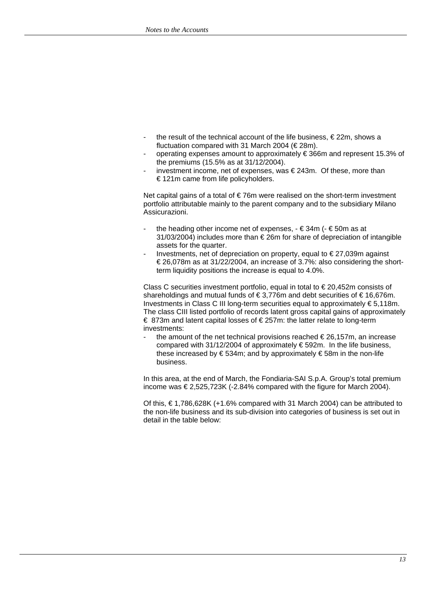- the result of the technical account of the life business,  $\epsilon$  22m, shows a fluctuation compared with 31 March 2004 ( $\in$  28m).
- operating expenses amount to approximately € 366m and represent 15.3% of the premiums (15.5% as at 31/12/2004).
- investment income, net of expenses, was  $\in$  243m. Of these, more than € 121m came from life policyholders.

Net capital gains of a total of  $\epsilon$ 76m were realised on the short-term investment portfolio attributable mainly to the parent company and to the subsidiary Milano Assicurazioni.

- the heading other income net of expenses,  $\epsilon$  34m ( $\epsilon$  50m as at 31/03/2004) includes more than € 26m for share of depreciation of intangible assets for the quarter.
- Investments, net of depreciation on property, equal to  $\epsilon$  27,039m against € 26,078m as at 31/22/2004, an increase of 3.7%: also considering the shortterm liquidity positions the increase is equal to 4.0%.

Class C securities investment portfolio, equal in total to  $\epsilon$  20,452m consists of shareholdings and mutual funds of € 3,776m and debt securities of € 16,676m. Investments in Class C III long-term securities equal to approximately € 5,118m. The class CIII listed portfolio of records latent gross capital gains of approximately € 873m and latent capital losses of € 257m: the latter relate to long-term investments:

the amount of the net technical provisions reached  $\epsilon$  26,157m, an increase compared with 31/12/2004 of approximately € 592m. In the life business, these increased by  $\epsilon$  534m; and by approximately  $\epsilon$  58m in the non-life business.

In this area, at the end of March, the Fondiaria-SAI S.p.A. Group's total premium income was € 2,525,723K (-2.84% compared with the figure for March 2004).

Of this,  $€1,786,628K (+1.6%$  compared with 31 March 2004) can be attributed to the non-life business and its sub-division into categories of business is set out in detail in the table below: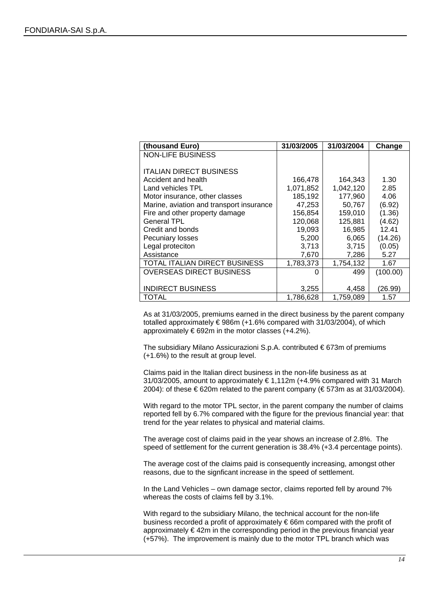| (thousand Euro)                          | 31/03/2005 | 31/03/2004 | Change   |
|------------------------------------------|------------|------------|----------|
| <b>NON-LIFE BUSINESS</b>                 |            |            |          |
|                                          |            |            |          |
| <b>ITALIAN DIRECT BUSINESS</b>           |            |            |          |
| Accident and health                      | 166,478    | 164,343    | 1.30     |
| Land vehicles TPL                        | 1,071,852  | 1,042,120  | 2.85     |
| Motor insurance, other classes           | 185,192    | 177,960    | 4.06     |
| Marine, aviation and transport insurance | 47,253     | 50,767     | (6.92)   |
| Fire and other property damage           | 156,854    | 159,010    | (1.36)   |
| <b>General TPL</b>                       | 120,068    | 125,881    | (4.62)   |
| Credit and bonds                         | 19,093     | 16,985     | 12.41    |
| Pecuniary losses                         | 5,200      | 6,065      | (14.26)  |
| Legal proteciton                         | 3,713      | 3,715      | (0.05)   |
| Assistance                               | 7,670      | 7,286      | 5.27     |
| TOTAL ITALIAN DIRECT BUSINESS            | 1,783,373  | 1,754,132  | 1.67     |
| <b>OVERSEAS DIRECT BUSINESS</b>          |            | 499        | (100.00) |
|                                          |            |            |          |
| <b>INDIRECT BUSINESS</b>                 | 3,255      | 4,458      | (26.99)  |
| TOTAL                                    | 1,786,628  | 1,759,089  | 1.57     |

As at 31/03/2005, premiums earned in the direct business by the parent company totalled approximately  $\epsilon$ 986m (+1.6% compared with 31/03/2004), of which approximately  $\epsilon$  692m in the motor classes (+4.2%).

The subsidiary Milano Assicurazioni S.p.A. contributed € 673m of premiums (+1.6%) to the result at group level.

Claims paid in the Italian direct business in the non-life business as at 31/03/2005, amount to approximately  $\epsilon$  1,112m (+4.9% compared with 31 March 2004): of these  $\epsilon$  620m related to the parent company ( $\epsilon$  573m as at 31/03/2004).

With regard to the motor TPL sector, in the parent company the number of claims reported fell by 6.7% compared with the figure for the previous financial year: that trend for the year relates to physical and material claims.

The average cost of claims paid in the year shows an increase of 2.8%. The speed of settlement for the current generation is 38.4% (+3.4 percentage points).

The average cost of the claims paid is consequently increasing, amongst other reasons, due to the signficant increase in the speed of settlement.

In the Land Vehicles – own damage sector, claims reported fell by around 7% whereas the costs of claims fell by 3.1%.

With regard to the subsidiary Milano, the technical account for the non-life business recorded a profit of approximately € 66m compared with the profit of approximately  $\epsilon$ 42m in the corresponding period in the previous financial year (+57%). The improvement is mainly due to the motor TPL branch which was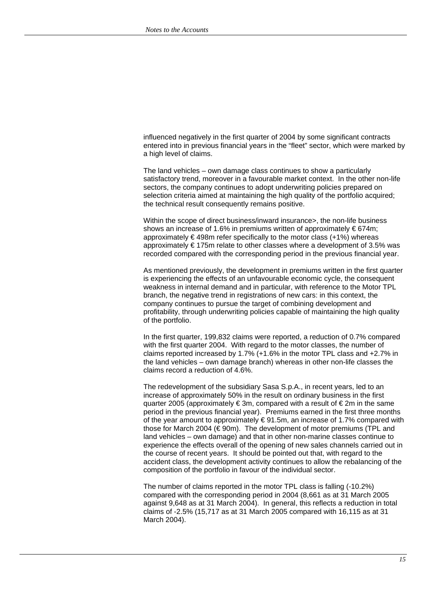influenced negatively in the first quarter of 2004 by some significant contracts entered into in previous financial years in the "fleet" sector, which were marked by a high level of claims.

The land vehicles – own damage class continues to show a particularly satisfactory trend, moreover in a favourable market context. In the other non-life sectors, the company continues to adopt underwriting policies prepared on selection criteria aimed at maintaining the high quality of the portfolio acquired; the technical result consequently remains positive.

Within the scope of direct business/inward insurance>, the non-life business shows an increase of 1.6% in premiums written of approximately  $\epsilon$  674m; approximately  $\epsilon$ 498m refer specifically to the motor class (+1%) whereas approximately € 175m relate to other classes where a development of 3.5% was recorded compared with the corresponding period in the previous financial year.

As mentioned previously, the development in premiums written in the first quarter is experiencing the effects of an unfavourable economic cycle, the consequent weakness in internal demand and in particular, with reference to the Motor TPL branch, the negative trend in registrations of new cars: in this context, the company continues to pursue the target of combining development and profitability, through underwriting policies capable of maintaining the high quality of the portfolio.

In the first quarter, 199,832 claims were reported, a reduction of 0.7% compared with the first quarter 2004. With regard to the motor classes, the number of claims reported increased by 1.7% (+1.6% in the motor TPL class and +2.7% in the land vehicles – own damage branch) whereas in other non-life classes the claims record a reduction of 4.6%.

The redevelopment of the subsidiary Sasa S.p.A., in recent years, led to an increase of approximately 50% in the result on ordinary business in the first quarter 2005 (approximately € 3m, compared with a result of € 2m in the same period in the previous financial year). Premiums earned in the first three months of the year amount to approximately € 91.5m, an increase of 1.7% compared with those for March 2004 (€ 90m). The development of motor premiums (TPL and land vehicles – own damage) and that in other non-marine classes continue to experience the effects overall of the opening of new sales channels carried out in the course of recent years. It should be pointed out that, with regard to the accident class, the development activity continues to allow the rebalancing of the composition of the portfolio in favour of the individual sector.

The number of claims reported in the motor TPL class is falling (-10.2%) compared with the corresponding period in 2004 (8,661 as at 31 March 2005 against 9,648 as at 31 March 2004). In general, this reflects a reduction in total claims of -2.5% (15,717 as at 31 March 2005 compared with 16,115 as at 31 March 2004).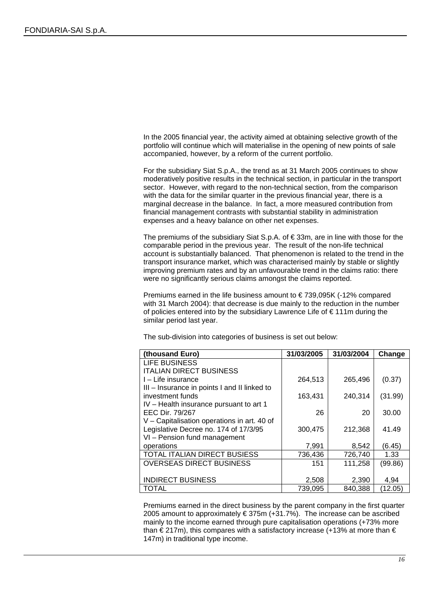In the 2005 financial year, the activity aimed at obtaining selective growth of the portfolio will continue which will materialise in the opening of new points of sale accompanied, however, by a reform of the current portfolio.

For the subsidiary Siat S.p.A., the trend as at 31 March 2005 continues to show moderatively positive results in the technical section, in particular in the transport sector. However, with regard to the non-technical section, from the comparison with the data for the similar quarter in the previous financial year, there is a marginal decrease in the balance. In fact, a more measured contribution from financial management contrasts with substantial stability in administration expenses and a heavy balance on other net expenses.

The premiums of the subsidiary Siat S.p.A. of  $\epsilon$ 33m, are in line with those for the comparable period in the previous year. The result of the non-life technical account is substantially balanced. That phenomenon is related to the trend in the transport insurance market, which was characterised mainly by stable or slightly improving premium rates and by an unfavourable trend in the claims ratio: there were no significantly serious claims amongst the claims reported.

Premiums earned in the life business amount to € 739,095K (-12% compared with 31 March 2004): that decrease is due mainly to the reduction in the number of policies entered into by the subsidiary Lawrence Life of € 111m during the similar period last year.

The sub-division into categories of business is set out below:

| (thousand Euro)                              | 31/03/2005 | 31/03/2004 | Change  |
|----------------------------------------------|------------|------------|---------|
| LIFE BUSINESS                                |            |            |         |
| <b>ITALIAN DIRECT BUSINESS</b>               |            |            |         |
| I – Life insurance                           | 264,513    | 265,496    | (0.37)  |
| III - Insurance in points I and II linked to |            |            |         |
| investment funds                             | 163,431    | 240,314    | (31.99) |
| IV - Health insurance pursuant to art 1      |            |            |         |
| EEC Dir. 79/267                              | 26         | 20         | 30.00   |
| V - Capitalisation operations in art. 40 of  |            |            |         |
| Legislative Decree no. 174 of 17/3/95        | 300,475    | 212,368    | 41.49   |
| VI - Pension fund management                 |            |            |         |
| operations                                   | 7,991      | 8,542      | (6.45)  |
| <b>TOTAL ITALIAN DIRECT BUSIESS</b>          | 736,436    | 726,740    | 1.33    |
| <b>OVERSEAS DIRECT BUSINESS</b>              | 151        | 111,258    | (99.86) |
|                                              |            |            |         |
| <b>INDIRECT BUSINESS</b>                     | 2,508      | 2,390      | 4,94    |
| TOTAL                                        | 739,095    | 840,388    | (12.05) |

Premiums earned in the direct business by the parent company in the first quarter 2005 amount to approximately € 375m (+31.7%). The increase can be ascribed mainly to the income earned through pure capitalisation operations (+73% more than  $\epsilon$  217m), this compares with a satisfactory increase (+13% at more than  $\epsilon$ 147m) in traditional type income.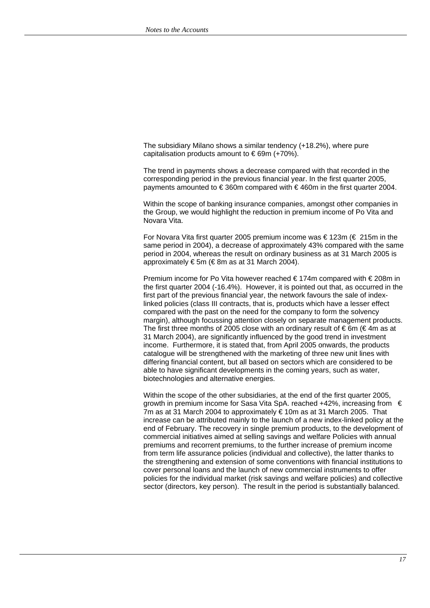The subsidiary Milano shows a similar tendency (+18.2%), where pure capitalisation products amount to  $\epsilon$  69m (+70%).

The trend in payments shows a decrease compared with that recorded in the corresponding period in the previous financial year. In the first quarter 2005, payments amounted to  $\epsilon$  360m compared with  $\epsilon$  460m in the first quarter 2004.

Within the scope of banking insurance companies, amongst other companies in the Group, we would highlight the reduction in premium income of Po Vita and Novara Vita.

For Novara Vita first quarter 2005 premium income was € 123m (€ 215m in the same period in 2004), a decrease of approximately 43% compared with the same period in 2004, whereas the result on ordinary business as at 31 March 2005 is approximately € 5m (€ 8m as at 31 March 2004).

Premium income for Po Vita however reached € 174m compared with € 208m in the first quarter 2004 (-16.4%). However, it is pointed out that, as occurred in the first part of the previous financial year, the network favours the sale of indexlinked policies (class III contracts, that is, products which have a lesser effect compared with the past on the need for the company to form the solvency margin), although focussing attention closely on separate management products. The first three months of 2005 close with an ordinary result of  $\epsilon$  6m ( $\epsilon$  4m as at 31 March 2004), are significantly influenced by the good trend in investment income. Furthermore, it is stated that, from April 2005 onwards, the products catalogue will be strengthened with the marketing of three new unit lines with differing financial content, but all based on sectors which are considered to be able to have significant developments in the coming years, such as water, biotechnologies and alternative energies.

Within the scope of the other subsidiaries, at the end of the first quarter 2005, growth in premium income for Sasa Vita SpA. reached +42%, increasing from € 7m as at 31 March 2004 to approximately € 10m as at 31 March 2005. That increase can be attributed mainly to the launch of a new index-linked policy at the end of February. The recovery in single premium products, to the development of commercial initiatives aimed at selling savings and welfare Policies with annual premiums and recorrent premiums, to the further increase of premium income from term life assurance policies (individual and collective), the latter thanks to the strengthening and extension of some conventions with financial institutions to cover personal loans and the launch of new commercial instruments to offer policies for the individual market (risk savings and welfare policies) and collective sector (directors, key person). The result in the period is substantially balanced.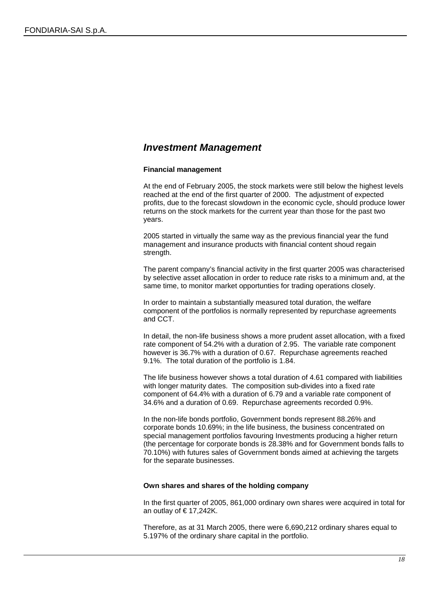### *Investment Management*

### **Financial management**

At the end of February 2005, the stock markets were still below the highest levels reached at the end of the first quarter of 2000. The adjustment of expected profits, due to the forecast slowdown in the economic cycle, should produce lower returns on the stock markets for the current year than those for the past two years.

2005 started in virtually the same way as the previous financial year the fund management and insurance products with financial content shoud regain strength.

The parent company's financial activity in the first quarter 2005 was characterised by selective asset allocation in order to reduce rate risks to a minimum and, at the same time, to monitor market opportunties for trading operations closely.

In order to maintain a substantially measured total duration, the welfare component of the portfolios is normally represented by repurchase agreements and CCT.

In detail, the non-life business shows a more prudent asset allocation, with a fixed rate component of 54.2% with a duration of 2.95. The variable rate component however is 36.7% with a duration of 0.67. Repurchase agreements reached 9.1%. The total duration of the portfolio is 1.84.

The life business however shows a total duration of 4.61 compared with liabilities with longer maturity dates. The composition sub-divides into a fixed rate component of 64.4% with a duration of 6.79 and a variable rate component of 34.6% and a duration of 0.69. Repurchase agreements recorded 0.9%.

In the non-life bonds portfolio, Government bonds represent 88.26% and corporate bonds 10.69%; in the life business, the business concentrated on special management portfolios favouring Investments producing a higher return (the percentage for corporate bonds is 28.38% and for Government bonds falls to 70.10%) with futures sales of Government bonds aimed at achieving the targets for the separate businesses.

#### **Own shares and shares of the holding company**

In the first quarter of 2005, 861,000 ordinary own shares were acquired in total for an outlay of € 17,242K.

Therefore, as at 31 March 2005, there were 6,690,212 ordinary shares equal to 5.197% of the ordinary share capital in the portfolio.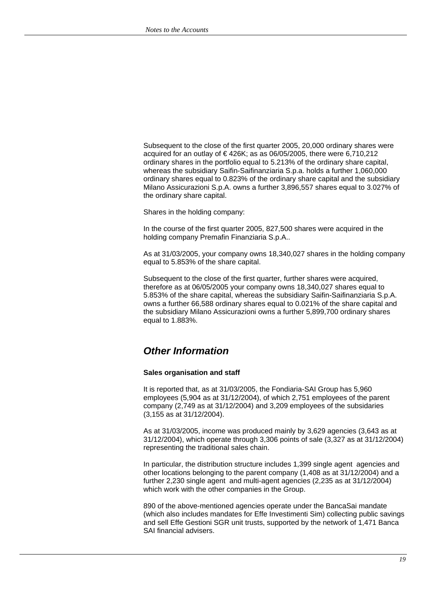Subsequent to the close of the first quarter 2005, 20,000 ordinary shares were acquired for an outlay of € 426K; as as 06/05/2005, there were 6,710,212 ordinary shares in the portfolio equal to 5.213% of the ordinary share capital, whereas the subsidiary Saifin-Saifinanziaria S.p.a. holds a further 1,060,000 ordinary shares equal to 0.823% of the ordinary share capital and the subsidiary Milano Assicurazioni S.p.A. owns a further 3,896,557 shares equal to 3.027% of the ordinary share capital.

Shares in the holding company:

In the course of the first quarter 2005, 827,500 shares were acquired in the holding company Premafin Finanziaria S.p.A..

As at 31/03/2005, your company owns 18,340,027 shares in the holding company equal to 5.853% of the share capital.

Subsequent to the close of the first quarter, further shares were acquired, therefore as at 06/05/2005 your company owns 18,340,027 shares equal to 5.853% of the share capital, whereas the subsidiary Saifin-Saifinanziaria S.p.A. owns a further 66,588 ordinary shares equal to 0.021% of the share capital and the subsidiary Milano Assicurazioni owns a further 5,899,700 ordinary shares equal to 1.883%.

### *Other Information*

#### **Sales organisation and staff**

It is reported that, as at 31/03/2005, the Fondiaria-SAI Group has 5,960 employees (5,904 as at 31/12/2004), of which 2,751 employees of the parent company (2,749 as at 31/12/2004) and 3,209 employees of the subsidaries (3,155 as at 31/12/2004).

As at 31/03/2005, income was produced mainly by 3,629 agencies (3,643 as at 31/12/2004), which operate through 3,306 points of sale (3,327 as at 31/12/2004) representing the traditional sales chain.

In particular, the distribution structure includes 1,399 single agent agencies and other locations belonging to the parent company (1,408 as at 31/12/2004) and a further 2,230 single agent and multi-agent agencies (2,235 as at 31/12/2004) which work with the other companies in the Group.

890 of the above-mentioned agencies operate under the BancaSai mandate (which also includes mandates for Effe Investimenti Sim) collecting public savings and sell Effe Gestioni SGR unit trusts, supported by the network of 1,471 Banca SAI financial advisers.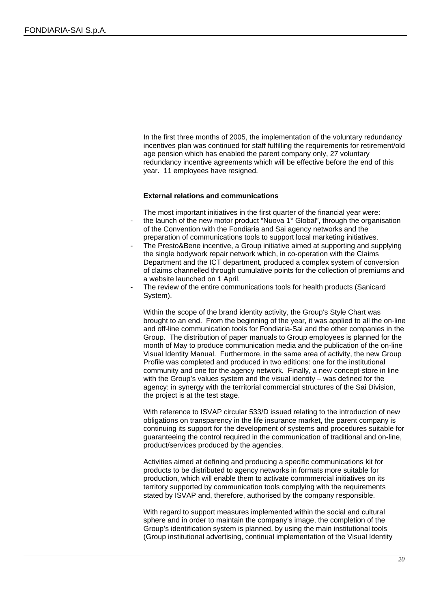In the first three months of 2005, the implementation of the voluntary redundancy incentives plan was continued for staff fulfilling the requirements for retirement/old age pension which has enabled the parent company only, 27 voluntary redundancy incentive agreements which will be effective before the end of this year. 11 employees have resigned.

### **External relations and communications**

The most important initiatives in the first quarter of the financial year were:

- the launch of the new motor product "Nuova 1° Global", through the organisation of the Convention with the Fondiaria and Sai agency networks and the preparation of communications tools to support local marketing initiatives.
- The Presto&Bene incentive, a Group initiative aimed at supporting and supplying the single bodywork repair network which, in co-operation with the Claims Department and the ICT department, produced a complex system of conversion of claims channelled through cumulative points for the collection of premiums and a website launched on 1 April.
- The review of the entire communications tools for health products (Sanicard System).

Within the scope of the brand identity activity, the Group's Style Chart was brought to an end. From the beginning of the year, it was applied to all the on-line and off-line communication tools for Fondiaria-Sai and the other companies in the Group. The distribution of paper manuals to Group employees is planned for the month of May to produce communication media and the publication of the on-line Visual Identity Manual. Furthermore, in the same area of activity, the new Group Profile was completed and produced in two editions: one for the institutional community and one for the agency network. Finally, a new concept-store in line with the Group's values system and the visual identity – was defined for the agency: in synergy with the territorial commercial structures of the Sai Division, the project is at the test stage.

With reference to ISVAP circular 533/D issued relating to the introduction of new obligations on transparency in the life insurance market, the parent company is continuing its support for the development of systems and procedures suitable for guaranteeing the control required in the communication of traditional and on-line, product/services produced by the agencies.

Activities aimed at defining and producing a specific communications kit for products to be distributed to agency networks in formats more suitable for production, which will enable them to activate commmercial initiatives on its territory supported by communication tools complying with the requirements stated by ISVAP and, therefore, authorised by the company responsible.

With regard to support measures implemented within the social and cultural sphere and in order to maintain the company's image, the completion of the Group's identification system is planned, by using the main institutional tools (Group institutional advertising, continual implementation of the Visual Identity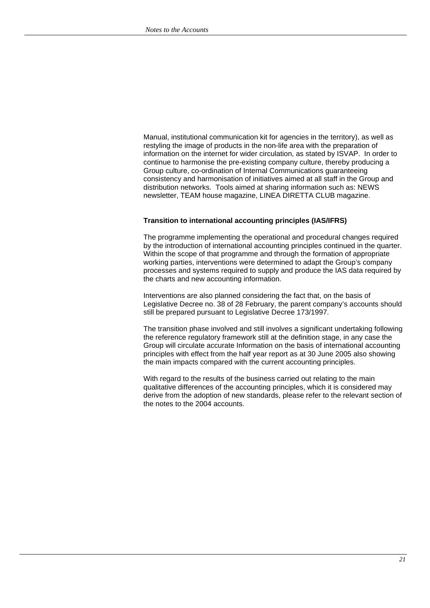Manual, institutional communication kit for agencies in the territory), as well as restyling the image of products in the non-life area with the preparation of information on the internet for wider circulation, as stated by ISVAP. In order to continue to harmonise the pre-existing company culture, thereby producing a Group culture, co-ordination of Internal Communications guaranteeing consistency and harmonisation of initiatives aimed at all staff in the Group and distribution networks. Tools aimed at sharing information such as: NEWS newsletter, TEAM house magazine, LINEA DIRETTA CLUB magazine.

### **Transition to international accounting principles (IAS/IFRS)**

The programme implementing the operational and procedural changes required by the introduction of international accounting principles continued in the quarter. Within the scope of that programme and through the formation of appropriate working parties, interventions were determined to adapt the Group's company processes and systems required to supply and produce the IAS data required by the charts and new accounting information.

Interventions are also planned considering the fact that, on the basis of Legislative Decree no. 38 of 28 February, the parent company's accounts should still be prepared pursuant to Legislative Decree 173/1997.

The transition phase involved and still involves a significant undertaking following the reference regulatory framework still at the definition stage, in any case the Group will circulate accurate Information on the basis of international accounting principles with effect from the half year report as at 30 June 2005 also showing the main impacts compared with the current accounting principles.

With regard to the results of the business carried out relating to the main qualitative differences of the accounting principles, which it is considered may derive from the adoption of new standards, please refer to the relevant section of the notes to the 2004 accounts.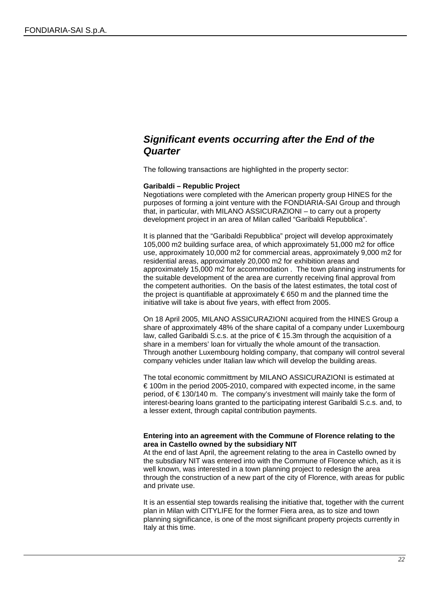# *Significant events occurring after the End of the Quarter*

The following transactions are highlighted in the property sector:

#### **Garibaldi – Republic Project**

Negotiations were completed with the American property group HINES for the purposes of forming a joint venture with the FONDIARIA-SAI Group and through that, in particular, with MILANO ASSICURAZIONI – to carry out a property development project in an area of Milan called "Garibaldi Repubblica".

It is planned that the "Garibaldi Repubblica" project will develop approximately 105,000 m2 building surface area, of which approximately 51,000 m2 for office use, approximately 10,000 m2 for commercial areas, approximately 9,000 m2 for residential areas, approximately 20,000 m2 for exhibition areas and approximately 15,000 m2 for accommodation . The town planning instruments for the suitable development of the area are currently receiving final approval from the competent authorities. On the basis of the latest estimates, the total cost of the project is quantifiable at approximately € 650 m and the planned time the initiative will take is about five years, with effect from 2005.

On 18 April 2005, MILANO ASSICURAZIONI acquired from the HINES Group a share of approximately 48% of the share capital of a company under Luxembourg law, called Garibaldi S.c.s. at the price of € 15.3m through the acquisition of a share in a members' loan for virtually the whole amount of the transaction. Through another Luxembourg holding company, that company will control several company vehicles under Italian law which will develop the building areas.

The total economic committment by MILANO ASSICURAZIONI is estimated at € 100m in the period 2005-2010, compared with expected income, in the same period, of € 130/140 m. The company's investment will mainly take the form of interest-bearing loans granted to the participating interest Garibaldi S.c.s. and, to a lesser extent, through capital contribution payments.

### **Entering into an agreement with the Commune of Florence relating to the area in Castello owned by the subsidiary NIT**

At the end of last April, the agreement relating to the area in Castello owned by the subsdiary NIT was entered into with the Commune of Florence which, as it is well known, was interested in a town planning project to redesign the area through the construction of a new part of the city of Florence, with areas for public and private use.

It is an essential step towards realising the initiative that, together with the current plan in Milan with CITYLIFE for the former Fiera area, as to size and town planning significance, is one of the most significant property projects currently in Italy at this time.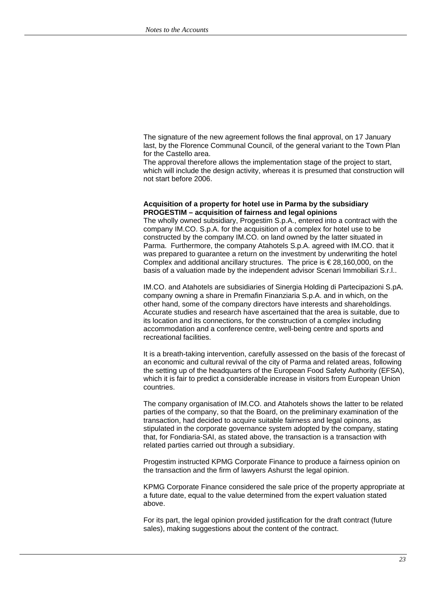The signature of the new agreement follows the final approval, on 17 January last, by the Florence Communal Council, of the general variant to the Town Plan for the Castello area.

The approval therefore allows the implementation stage of the project to start, which will include the design activity, whereas it is presumed that construction will not start before 2006.

#### **Acquisition of a property for hotel use in Parma by the subsidiary PROGESTIM – acquisition of fairness and legal opinions**

The wholly owned subsidiary, Progestim S.p.A., entered into a contract with the company IM.CO. S.p.A. for the acquisition of a complex for hotel use to be constructed by the company IM.CO. on land owned by the latter situated in Parma. Furthermore, the company Atahotels S.p.A. agreed with IM.CO. that it was prepared to guarantee a return on the investment by underwriting the hotel Complex and additional ancillary structures. The price is  $\in$  28,160,000, on the basis of a valuation made by the independent advisor Scenari Immobiliari S.r.l..

IM.CO. and Atahotels are subsidiaries of Sinergia Holding di Partecipazioni S.pA. company owning a share in Premafin Finanziaria S.p.A. and in which, on the other hand, some of the company directors have interests and shareholdings. Accurate studies and research have ascertained that the area is suitable, due to its location and its connections, for the construction of a complex including accommodation and a conference centre, well-being centre and sports and recreational facilities.

It is a breath-taking intervention, carefully assessed on the basis of the forecast of an economic and cultural revival of the city of Parma and related areas, following the setting up of the headquarters of the European Food Safety Authority (EFSA), which it is fair to predict a considerable increase in visitors from European Union countries.

The company organisation of IM.CO. and Atahotels shows the latter to be related parties of the company, so that the Board, on the preliminary examination of the transaction, had decided to acquire suitable fairness and legal opinons, as stipulated in the corporate governance system adopted by the company, stating that, for Fondiaria-SAI, as stated above, the transaction is a transaction with related parties carried out through a subsidiary.

Progestim instructed KPMG Corporate Finance to produce a fairness opinion on the transaction and the firm of lawyers Ashurst the legal opinion.

KPMG Corporate Finance considered the sale price of the property appropriate at a future date, equal to the value determined from the expert valuation stated above.

For its part, the legal opinion provided justification for the draft contract (future sales), making suggestions about the content of the contract.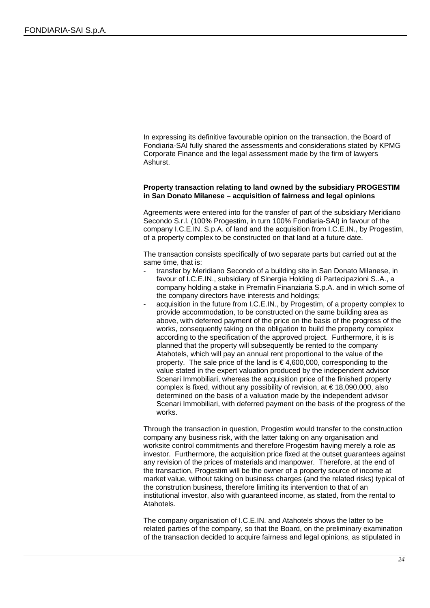In expressing its definitive favourable opinion on the transaction, the Board of Fondiaria-SAI fully shared the assessments and considerations stated by KPMG Corporate Finance and the legal assessment made by the firm of lawyers Ashurst.

### **Property transaction relating to land owned by the subsidiary PROGESTIM in San Donato Milanese – acquisition of fairness and legal opinions**

Agreements were entered into for the transfer of part of the subsidiary Meridiano Secondo S.r.l. (100% Progestim, in turn 100% Fondiaria-SAI) in favour of the company I.C.E.IN. S.p.A. of land and the acquisition from I.C.E.IN., by Progestim, of a property complex to be constructed on that land at a future date.

The transaction consists specifically of two separate parts but carried out at the same time, that is:

- transfer by Meridiano Secondo of a building site in San Donato Milanese, in favour of I.C.E.IN., subsidiary of Sinergia Holding di Partecipazioni S..A., a company holding a stake in Premafin Finanziaria S.p.A. and in which some of the company directors have interests and holdings;
- acquisition in the future from I.C.E.IN., by Progestim, of a property complex to provide accommodation, to be constructed on the same building area as above, with deferred payment of the price on the basis of the progress of the works, consequently taking on the obligation to build the property complex according to the specification of the approved project. Furthermore, it is is planned that the property will subsequently be rented to the company Atahotels, which will pay an annual rent proportional to the value of the property. The sale price of the land is € 4,600,000, corresponding to the value stated in the expert valuation produced by the independent advisor Scenari Immobiliari, whereas the acquisition price of the finished property complex is fixed, without any possibility of revision, at  $\epsilon$  18,090,000, also determined on the basis of a valuation made by the independent advisor Scenari Immobiliari, with deferred payment on the basis of the progress of the works.

Through the transaction in question, Progestim would transfer to the construction company any business risk, with the latter taking on any organisation and worksite control commitments and therefore Progestim having merely a role as investor. Furthermore, the acquisition price fixed at the outset guarantees against any revision of the prices of materials and manpower. Therefore, at the end of the transaction, Progestim will be the owner of a property source of income at market value, without taking on business charges (and the related risks) typical of the constrution business, therefore limiting its intervention to that of an institutional investor, also with guaranteed income, as stated, from the rental to Atahotels.

The company organisation of I.C.E.IN. and Atahotels shows the latter to be related parties of the company, so that the Board, on the preliminary examination of the transaction decided to acquire fairness and legal opinions, as stipulated in